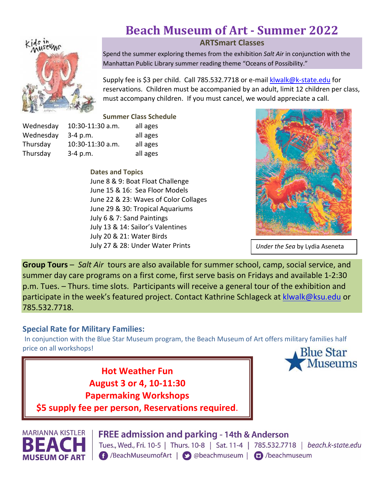# **Beach Museum of Art - Summer 2022**



**ARTSmart Classes**

Spend the summer exploring themes from the exhibition *Salt Air* in conjunction with the Manhattan Public Library summer reading theme "Oceans of Possibility."

Supply fee is \$3 per child. Call 785.532.7718 or e-mail [klwalk@k-state.edu](mailto:klwalk@k-state.edu) for reservations. Children must be accompanied by an adult, limit 12 children per class, must accompany children. If you must cancel, we would appreciate a call.

**Summer Class Schedule**

| Wednesday | 10:30-11:30 a.m. | all ages |
|-----------|------------------|----------|
| Wednesday | $3-4$ p.m.       | all ages |
| Thursday  | 10:30-11:30 a.m. | all ages |
| Thursday  | $3-4$ p.m.       | all ages |

**Dates and Topics** June 8 & 9: Boat Float Challenge June 15 & 16: Sea Floor Models June 22 & 23: Waves of Color Collages June 29 & 30: Tropical Aquariums July 6 & 7: Sand Paintings July 13 & 14: Sailor's Valentines July 20 & 21: Water Birds July 27 & 28: Under Water Prints



*Under the Sea* by Lydia Aseneta

**Group Tours** – *Salt Air* tours are also available for summer school, camp, social service, and summer day care programs on a first come, first serve basis on Fridays and available 1-2:30 p.m. Tues. – Thurs. time slots. Participants will receive a general tour of the exhibition and participate in the week's featured project. Contact Kathrine Schlageck at [klwalk@ksu.edu](mailto:klwalk@ksu.edu) or 785.532.7718.

#### **Special Rate for Military Families:**

In conjunction with the Blue Star Museum program, the Beach Museum of Art offers military families half price on all workshops!

> **Hot Weather Fun August 3 or 4, 10-11:30 Papermaking Workshops**



**\$5 supply fee per person, Reservations required**.



**FREE admission and parking - 14th & Anderson** Tues., Wed., Fri. 10-5 | Thurs. 10-8 | Sat. 11-4 | 785.532.7718 | beach.k-state.edu f /BeachMuseumofArt | ⊙ @beachmuseum | □ /beachmuseum